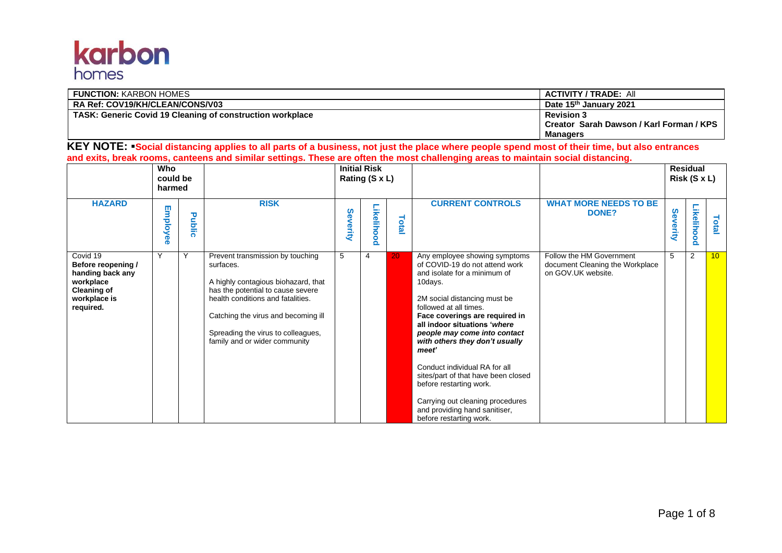## **karbon**

| <b>FUNCTION: KARBON HOMES</b>                                    | <b>ACTIVITY / TRADE: All</b>             |
|------------------------------------------------------------------|------------------------------------------|
| <b>RA Ref: COV19/KH/CLEAN/CONS/V03</b>                           | Date 15 <sup>th</sup> January 2021       |
| <b>TASK: Generic Covid 19 Cleaning of construction workplace</b> | <b>Revision 3</b>                        |
|                                                                  | Creator Sarah Dawson / Karl Forman / KPS |
|                                                                  | Managers                                 |

KEY NOTE: **•**Social distancing applies to all parts of a business, not just the place where people spend most of their time, but also entrances **and exits, break rooms, canteens and similar settings. These are often the most challenging areas to maintain social distancing.**

|                                                                                                                    | <b>Who</b><br>could be<br>harmed |        |                                                                                                                                                                                                                                                                              | <b>Initial Risk</b><br>Rating (S x L) |            |       |                                                                                                                                                                                                                                                                                                                                                                                                                                                                                                                      |                                                                                   |              | <b>Residual</b><br>Risk (S x L) |                 |
|--------------------------------------------------------------------------------------------------------------------|----------------------------------|--------|------------------------------------------------------------------------------------------------------------------------------------------------------------------------------------------------------------------------------------------------------------------------------|---------------------------------------|------------|-------|----------------------------------------------------------------------------------------------------------------------------------------------------------------------------------------------------------------------------------------------------------------------------------------------------------------------------------------------------------------------------------------------------------------------------------------------------------------------------------------------------------------------|-----------------------------------------------------------------------------------|--------------|---------------------------------|-----------------|
| <b>HAZARD</b>                                                                                                      | Employ<br>൙                      | Public | <b>RISK</b>                                                                                                                                                                                                                                                                  | Severity                              | Likelihood | Total | <b>CURRENT CONTROLS</b>                                                                                                                                                                                                                                                                                                                                                                                                                                                                                              | <b>WHAT MORE NEEDS TO BE</b><br><b>DONE?</b>                                      | Sev<br>erity | Likelihood                      | Total           |
| Covid 19<br>Before reopening /<br>handing back any<br>workplace<br><b>Cleaning of</b><br>workplace is<br>required. | Y                                | Υ      | Prevent transmission by touching<br>surfaces.<br>A highly contagious biohazard, that<br>has the potential to cause severe<br>health conditions and fatalities.<br>Catching the virus and becoming ill<br>Spreading the virus to colleagues,<br>family and or wider community | 5                                     | 4          | 20    | Any employee showing symptoms<br>of COVID-19 do not attend work<br>and isolate for a minimum of<br>10days.<br>2M social distancing must be<br>followed at all times.<br>Face coverings are required in<br>all indoor situations 'where<br>people may come into contact<br>with others they don't usually<br>meet'<br>Conduct individual RA for all<br>sites/part of that have been closed<br>before restarting work.<br>Carrying out cleaning procedures<br>and providing hand sanitiser,<br>before restarting work. | Follow the HM Government<br>document Cleaning the Workplace<br>on GOV.UK website. | 5            | $\overline{2}$                  | 10 <sup>1</sup> |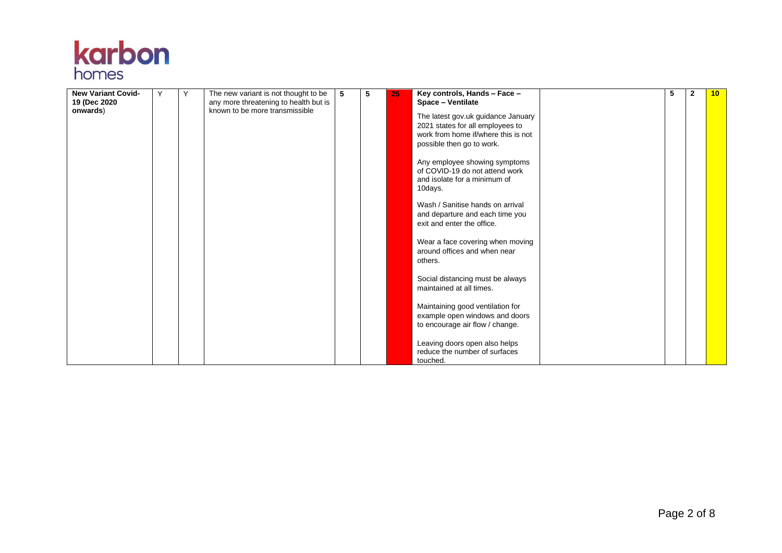

| <b>New Variant Covid-</b> | Y | Υ | The new variant is not thought to be                                    | 5 | 5 | 25 | Key controls, Hands - Face -                                                                                                               | 5 | $\mathbf{2}$ | 10 |
|---------------------------|---|---|-------------------------------------------------------------------------|---|---|----|--------------------------------------------------------------------------------------------------------------------------------------------|---|--------------|----|
| 19 (Dec 2020)             |   |   | any more threatening to health but is<br>known to be more transmissible |   |   |    | Space - Ventilate                                                                                                                          |   |              |    |
| onwards)                  |   |   |                                                                         |   |   |    | The latest gov.uk guidance January<br>2021 states for all employees to<br>work from home if/where this is not<br>possible then go to work. |   |              |    |
|                           |   |   |                                                                         |   |   |    | Any employee showing symptoms<br>of COVID-19 do not attend work<br>and isolate for a minimum of<br>10days.                                 |   |              |    |
|                           |   |   |                                                                         |   |   |    | Wash / Sanitise hands on arrival<br>and departure and each time you<br>exit and enter the office.                                          |   |              |    |
|                           |   |   |                                                                         |   |   |    | Wear a face covering when moving<br>around offices and when near<br>others.                                                                |   |              |    |
|                           |   |   |                                                                         |   |   |    | Social distancing must be always<br>maintained at all times.                                                                               |   |              |    |
|                           |   |   |                                                                         |   |   |    | Maintaining good ventilation for<br>example open windows and doors<br>to encourage air flow / change.                                      |   |              |    |
|                           |   |   |                                                                         |   |   |    | Leaving doors open also helps<br>reduce the number of surfaces<br>touched.                                                                 |   |              |    |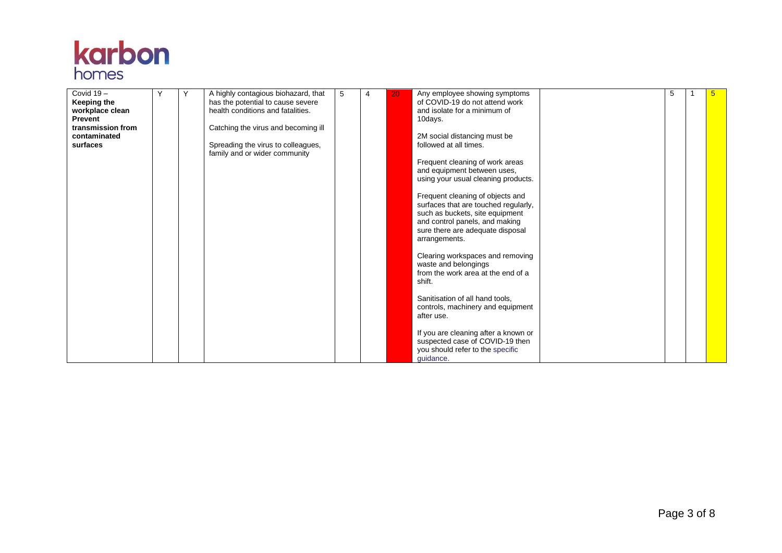

| Covid $19 -$<br>Keeping the | Y | Y | A highly contagious biohazard, that<br>has the potential to cause severe | 5 | 4 | 20 | Any employee showing symptoms<br>of COVID-19 do not attend work    | 5 | 5 |
|-----------------------------|---|---|--------------------------------------------------------------------------|---|---|----|--------------------------------------------------------------------|---|---|
| workplace clean             |   |   | health conditions and fatalities.                                        |   |   |    | and isolate for a minimum of                                       |   |   |
| <b>Prevent</b>              |   |   |                                                                          |   |   |    | 10days.                                                            |   |   |
| transmission from           |   |   | Catching the virus and becoming ill                                      |   |   |    |                                                                    |   |   |
| contaminated                |   |   |                                                                          |   |   |    | 2M social distancing must be                                       |   |   |
| surfaces                    |   |   | Spreading the virus to colleagues,                                       |   |   |    | followed at all times.                                             |   |   |
|                             |   |   | family and or wider community                                            |   |   |    | Frequent cleaning of work areas                                    |   |   |
|                             |   |   |                                                                          |   |   |    | and equipment between uses,                                        |   |   |
|                             |   |   |                                                                          |   |   |    | using your usual cleaning products.                                |   |   |
|                             |   |   |                                                                          |   |   |    |                                                                    |   |   |
|                             |   |   |                                                                          |   |   |    | Frequent cleaning of objects and                                   |   |   |
|                             |   |   |                                                                          |   |   |    | surfaces that are touched regularly,                               |   |   |
|                             |   |   |                                                                          |   |   |    | such as buckets, site equipment                                    |   |   |
|                             |   |   |                                                                          |   |   |    | and control panels, and making<br>sure there are adequate disposal |   |   |
|                             |   |   |                                                                          |   |   |    | arrangements.                                                      |   |   |
|                             |   |   |                                                                          |   |   |    |                                                                    |   |   |
|                             |   |   |                                                                          |   |   |    | Clearing workspaces and removing                                   |   |   |
|                             |   |   |                                                                          |   |   |    | waste and belongings                                               |   |   |
|                             |   |   |                                                                          |   |   |    | from the work area at the end of a                                 |   |   |
|                             |   |   |                                                                          |   |   |    | shift.                                                             |   |   |
|                             |   |   |                                                                          |   |   |    | Sanitisation of all hand tools,                                    |   |   |
|                             |   |   |                                                                          |   |   |    | controls, machinery and equipment                                  |   |   |
|                             |   |   |                                                                          |   |   |    | after use.                                                         |   |   |
|                             |   |   |                                                                          |   |   |    |                                                                    |   |   |
|                             |   |   |                                                                          |   |   |    | If you are cleaning after a known or                               |   |   |
|                             |   |   |                                                                          |   |   |    | suspected case of COVID-19 then                                    |   |   |
|                             |   |   |                                                                          |   |   |    | you should refer to the specific                                   |   |   |
|                             |   |   |                                                                          |   |   |    | guidance.                                                          |   |   |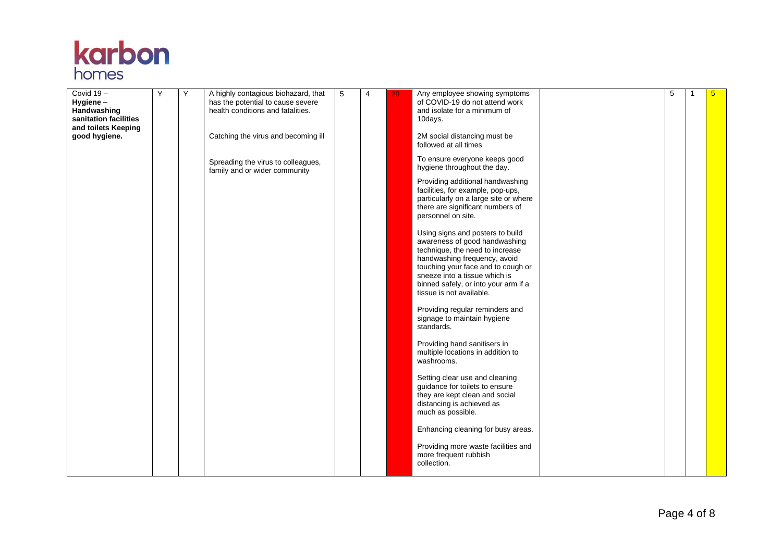

| Covid 19-<br>Hygiene -<br>Handwashing<br>sanitation facilities<br>and toilets Keeping<br>good hygiene. | Y | Υ | A highly contagious biohazard, that<br>has the potential to cause severe<br>health conditions and fatalities.<br>Catching the virus and becoming ill<br>Spreading the virus to colleagues,<br>family and or wider community | 5 | $\overline{4}$ | 20 | Any employee showing symptoms<br>of COVID-19 do not attend work<br>and isolate for a minimum of<br>10days.<br>2M social distancing must be<br>followed at all times<br>To ensure everyone keeps good<br>hygiene throughout the day.<br>Providing additional handwashing<br>facilities, for example, pop-ups,<br>particularly on a large site or where<br>there are significant numbers of<br>personnel on site.<br>Using signs and posters to build<br>awareness of good handwashing<br>technique, the need to increase<br>handwashing frequency, avoid<br>touching your face and to cough or<br>sneeze into a tissue which is<br>binned safely, or into your arm if a<br>tissue is not available.<br>Providing regular reminders and<br>signage to maintain hygiene | 5 | 1 | $5\overline{)}$ |
|--------------------------------------------------------------------------------------------------------|---|---|-----------------------------------------------------------------------------------------------------------------------------------------------------------------------------------------------------------------------------|---|----------------|----|----------------------------------------------------------------------------------------------------------------------------------------------------------------------------------------------------------------------------------------------------------------------------------------------------------------------------------------------------------------------------------------------------------------------------------------------------------------------------------------------------------------------------------------------------------------------------------------------------------------------------------------------------------------------------------------------------------------------------------------------------------------------|---|---|-----------------|
|                                                                                                        |   |   |                                                                                                                                                                                                                             |   |                |    | standards.<br>Providing hand sanitisers in<br>multiple locations in addition to<br>washrooms.                                                                                                                                                                                                                                                                                                                                                                                                                                                                                                                                                                                                                                                                        |   |   |                 |
|                                                                                                        |   |   |                                                                                                                                                                                                                             |   |                |    | Setting clear use and cleaning<br>guidance for toilets to ensure<br>they are kept clean and social<br>distancing is achieved as<br>much as possible.                                                                                                                                                                                                                                                                                                                                                                                                                                                                                                                                                                                                                 |   |   |                 |
|                                                                                                        |   |   |                                                                                                                                                                                                                             |   |                |    | Enhancing cleaning for busy areas.<br>Providing more waste facilities and<br>more frequent rubbish<br>collection.                                                                                                                                                                                                                                                                                                                                                                                                                                                                                                                                                                                                                                                    |   |   |                 |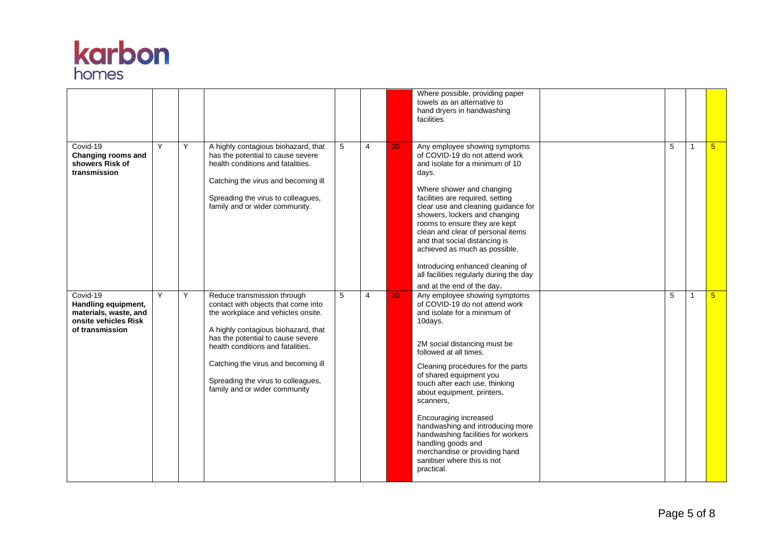

|                                                                                                     |   |   |                                                                                                                                                                                                                                                                                                                                         |   |                |    | Where possible, providing paper<br>towels as an alternative to<br>hand dryers in handwashing<br>facilities                                                                                                                                                                                                                                                                                                                                                                                                               |   |              |                 |
|-----------------------------------------------------------------------------------------------------|---|---|-----------------------------------------------------------------------------------------------------------------------------------------------------------------------------------------------------------------------------------------------------------------------------------------------------------------------------------------|---|----------------|----|--------------------------------------------------------------------------------------------------------------------------------------------------------------------------------------------------------------------------------------------------------------------------------------------------------------------------------------------------------------------------------------------------------------------------------------------------------------------------------------------------------------------------|---|--------------|-----------------|
| Covid-19<br>Changing rooms and<br>showers Risk of<br>transmission                                   | Y | Y | A highly contagious biohazard, that<br>has the potential to cause severe<br>health conditions and fatalities.<br>Catching the virus and becoming ill<br>Spreading the virus to colleagues,<br>family and or wider community.                                                                                                            | 5 | $\overline{4}$ | 20 | Any employee showing symptoms<br>of COVID-19 do not attend work<br>and isolate for a minimum of 10<br>days.<br>Where shower and changing<br>facilities are required, setting<br>clear use and cleaning guidance for<br>showers, lockers and changing<br>rooms to ensure they are kept<br>clean and clear of personal items<br>and that social distancing is<br>achieved as much as possible.<br>Introducing enhanced cleaning of<br>all facilities regularly during the day<br>and at the end of the day.                | 5 | $\mathbf{1}$ | -5              |
| Covid-19<br>Handling equipment,<br>materials, waste, and<br>onsite vehicles Risk<br>of transmission | Y | Y | Reduce transmission through<br>contact with objects that come into<br>the workplace and vehicles onsite.<br>A highly contagious biohazard, that<br>has the potential to cause severe<br>health conditions and fatalities.<br>Catching the virus and becoming ill<br>Spreading the virus to colleagues,<br>family and or wider community | 5 | $\overline{4}$ | 20 | Any employee showing symptoms<br>of COVID-19 do not attend work<br>and isolate for a minimum of<br>10days.<br>2M social distancing must be<br>followed at all times.<br>Cleaning procedures for the parts<br>of shared equipment you<br>touch after each use, thinking<br>about equipment, printers,<br>scanners,<br>Encouraging increased<br>handwashing and introducing more<br>handwashing facilities for workers<br>handling goods and<br>merchandise or providing hand<br>sanitiser where this is not<br>practical. | 5 |              | $5\overline{)}$ |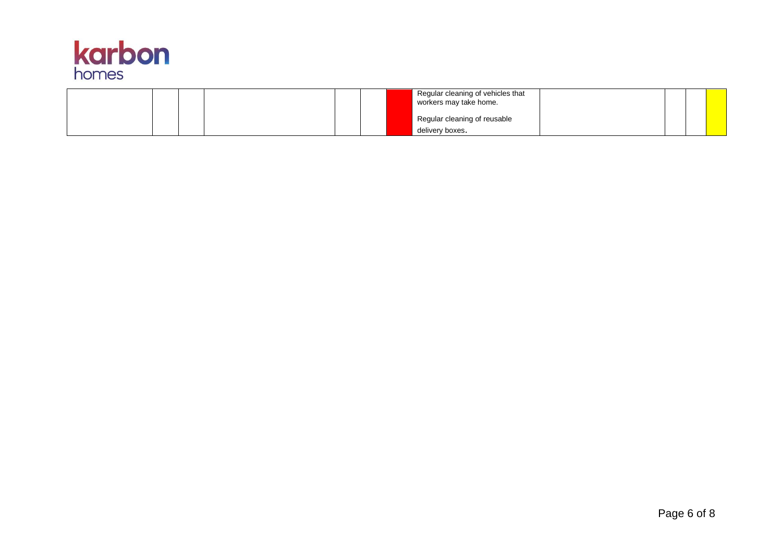

|  |  |  | Regular cleaning of vehicles that<br>workers may take home. |  |  |
|--|--|--|-------------------------------------------------------------|--|--|
|  |  |  | Regular cleaning of reusable                                |  |  |
|  |  |  | delivery boxes.                                             |  |  |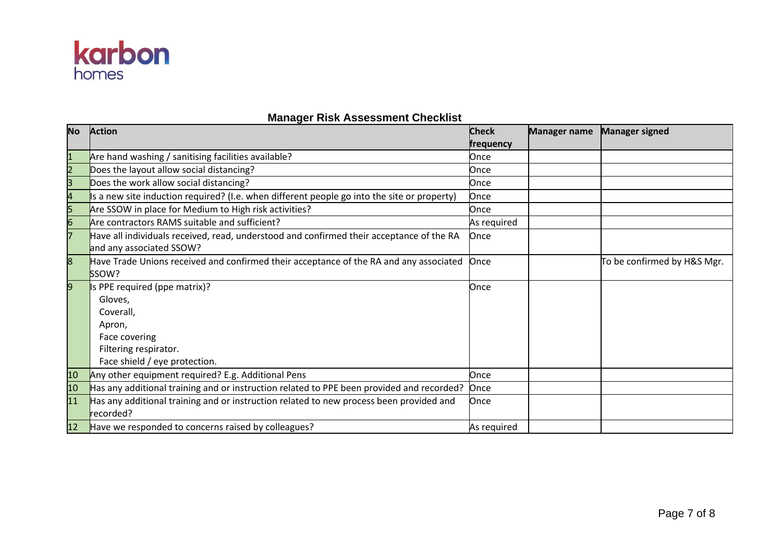

## **Manager Risk Assessment Checklist**

| <b>No</b>      | <b>Action</b>                                                                                         | <b>Check</b> | <b>Manager name</b> | <b>Manager signed</b>       |
|----------------|-------------------------------------------------------------------------------------------------------|--------------|---------------------|-----------------------------|
|                |                                                                                                       | frequency    |                     |                             |
| $\mathbf{1}$   | Are hand washing / sanitising facilities available?                                                   | Once         |                     |                             |
| $\overline{2}$ | Does the layout allow social distancing?                                                              | Once         |                     |                             |
| 3              | Does the work allow social distancing?                                                                | Once         |                     |                             |
| 4              | Is a new site induction required? (I.e. when different people go into the site or property)           | Once         |                     |                             |
| 5              | Are SSOW in place for Medium to High risk activities?                                                 | Once         |                     |                             |
| 6              | Are contractors RAMS suitable and sufficient?                                                         | As required  |                     |                             |
|                | Have all individuals received, read, understood and confirmed their acceptance of the RA              | Once         |                     |                             |
|                | and any associated SSOW?                                                                              |              |                     |                             |
| 8              | Have Trade Unions received and confirmed their acceptance of the RA and any associated                | Once         |                     | To be confirmed by H&S Mgr. |
|                | SSOW?                                                                                                 |              |                     |                             |
| 9              | Is PPE required (ppe matrix)?                                                                         | Once         |                     |                             |
|                | Gloves,                                                                                               |              |                     |                             |
|                | Coverall,                                                                                             |              |                     |                             |
|                | Apron,                                                                                                |              |                     |                             |
|                | Face covering                                                                                         |              |                     |                             |
|                | Filtering respirator.                                                                                 |              |                     |                             |
|                | Face shield / eye protection.                                                                         |              |                     |                             |
| 10             | Any other equipment required? E.g. Additional Pens                                                    | Once         |                     |                             |
| 10             | Has any additional training and or instruction related to PPE been provided and recorded?             | Once         |                     |                             |
| 11             | Has any additional training and or instruction related to new process been provided and<br>lrecorded? | Once         |                     |                             |
| 12             | Have we responded to concerns raised by colleagues?                                                   | As required  |                     |                             |